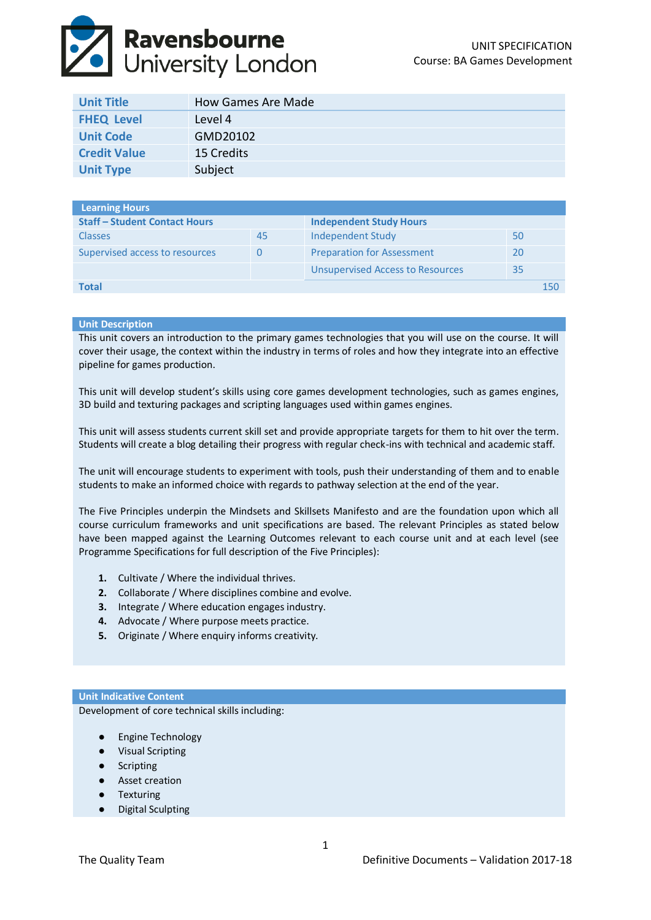# **Ravensbourne**<br>Duniversity London

| <b>Unit Title</b>   | How Games Are Made |
|---------------------|--------------------|
| <b>FHEQ Level</b>   | Level 4            |
| <b>Unit Code</b>    | GMD20102           |
| <b>Credit Value</b> | 15 Credits         |
| <b>Unit Type</b>    | Subject            |

| <b>Learning Hours</b>                |        |                                         |     |
|--------------------------------------|--------|-----------------------------------------|-----|
| <b>Staff - Student Contact Hours</b> |        | <b>Independent Study Hours</b>          |     |
| <b>Classes</b>                       | 45     | Independent Study                       | 50  |
| Supervised access to resources       | $\cup$ | <b>Preparation for Assessment</b>       | 20  |
|                                      |        | <b>Unsupervised Access to Resources</b> | 35  |
| Total                                |        |                                         | 150 |

### **Unit Description**

This unit covers an introduction to the primary games technologies that you will use on the course. It will cover their usage, the context within the industry in terms of roles and how they integrate into an effective pipeline for games production.

This unit will develop student's skills using core games development technologies, such as games engines, 3D build and texturing packages and scripting languages used within games engines.

This unit will assess students current skill set and provide appropriate targets for them to hit over the term. Students will create a blog detailing their progress with regular check-ins with technical and academic staff.

The unit will encourage students to experiment with tools, push their understanding of them and to enable students to make an informed choice with regards to pathway selection at the end of the year.

The Five Principles underpin the Mindsets and Skillsets Manifesto and are the foundation upon which all course curriculum frameworks and unit specifications are based. The relevant Principles as stated below have been mapped against the Learning Outcomes relevant to each course unit and at each level (see Programme Specifications for full description of the Five Principles):

- **1.** Cultivate / Where the individual thrives.
- **2.** Collaborate / Where disciplines combine and evolve.
- **3.** Integrate / Where education engages industry.
- **4.** Advocate / Where purpose meets practice.
- **5.** Originate / Where enquiry informs creativity.

## **Unit Indicative Content**

Development of core technical skills including:

- Engine Technology
- Visual Scripting
- Scripting
- Asset creation
- Texturing
- **Digital Sculpting**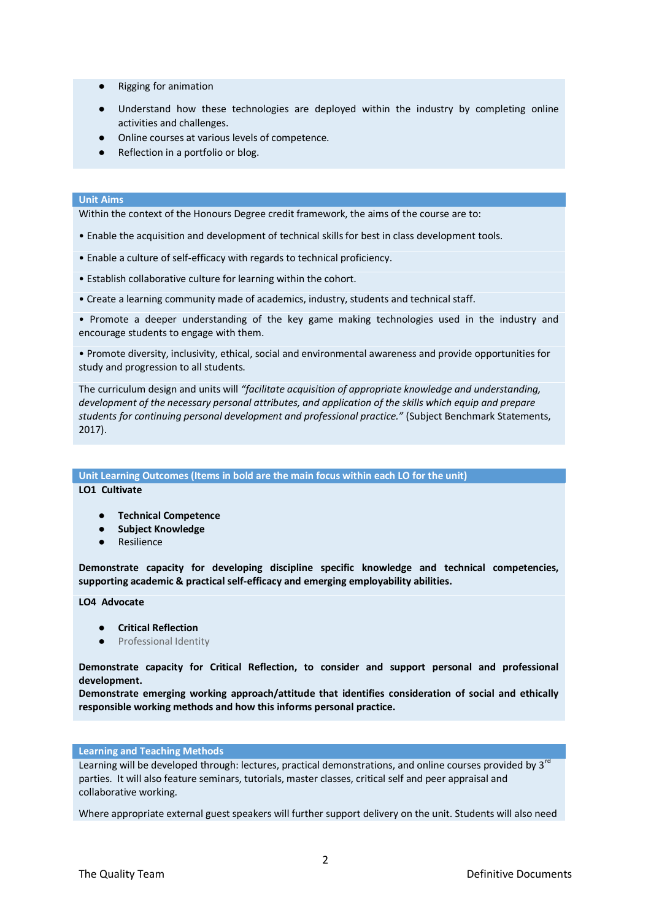- Rigging for animation
- Understand how these technologies are deployed within the industry by completing online activities and challenges.
- Online courses at various levels of competence.
- Reflection in a portfolio or blog.

#### **Unit Aims**

Within the context of the Honours Degree credit framework, the aims of the course are to:

- Enable the acquisition and development of technical skills for best in class development tools.
- Enable a culture of self-efficacy with regards to technical proficiency.
- Establish collaborative culture for learning within the cohort.
- Create a learning community made of academics, industry, students and technical staff.

• Promote a deeper understanding of the key game making technologies used in the industry and encourage students to engage with them.

• Promote diversity, inclusivity, ethical, social and environmental awareness and provide opportunities for study and progression to all students.

The curriculum design and units will *"facilitate acquisition of appropriate knowledge and understanding, development of the necessary personal attributes, and application of the skills which equip and prepare students for continuing personal development and professional practice."* (Subject Benchmark Statements, 2017).

**Unit Learning Outcomes (Items in bold are the main focus within each LO for the unit)**

**LO1 Cultivate**

- **Technical Competence**
- **Subject Knowledge**
- Resilience

**Demonstrate capacity for developing discipline specific knowledge and technical competencies, supporting academic & practical self-efficacy and emerging employability abilities.**

**LO4 Advocate**

- **Critical Reflection**
- Professional Identity

**Demonstrate capacity for Critical Reflection, to consider and support personal and professional development.** 

**Demonstrate emerging working approach/attitude that identifies consideration of social and ethically responsible working methods and how this informs personal practice.**

#### **Learning and Teaching Methods**

Learning will be developed through: lectures, practical demonstrations, and online courses provided by 3<sup>rd</sup> parties. It will also feature seminars, tutorials, master classes, critical self and peer appraisal and collaborative working.

Where appropriate external guest speakers will further support delivery on the unit. Students will also need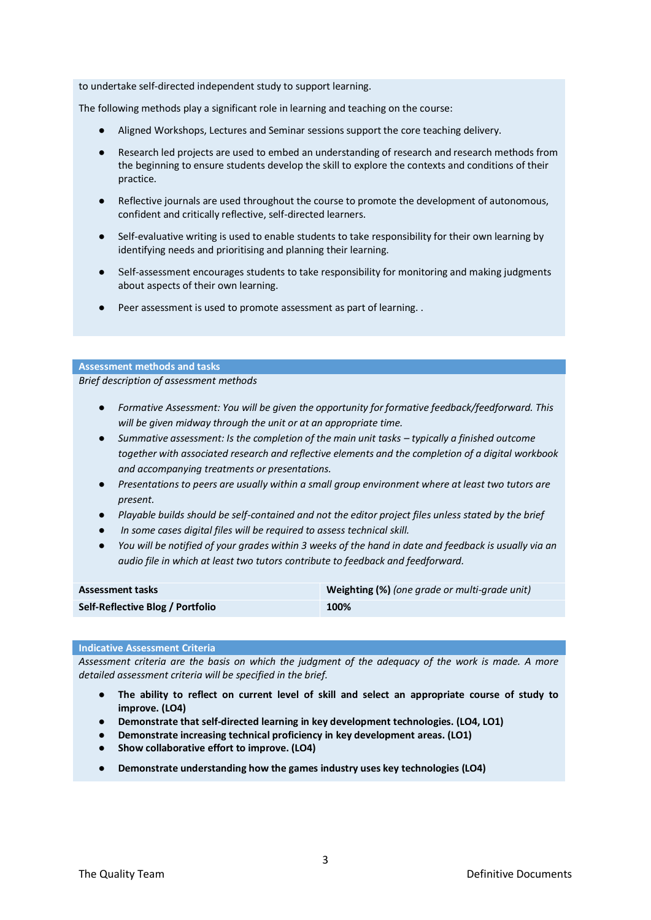to undertake self‐directed independent study to support learning.

The following methods play a significant role in learning and teaching on the course:

- Aligned Workshops, Lectures and Seminar sessions support the core teaching delivery.
- Research led projects are used to embed an understanding of research and research methods from the beginning to ensure students develop the skill to explore the contexts and conditions of their practice.
- Reflective journals are used throughout the course to promote the development of autonomous, confident and critically reflective, self‐directed learners.
- Self-evaluative writing is used to enable students to take responsibility for their own learning by identifying needs and prioritising and planning their learning.
- Self-assessment encourages students to take responsibility for monitoring and making judgments about aspects of their own learning.
- Peer assessment is used to promote assessment as part of learning. .

#### **Assessment methods and tasks**

*Brief description of assessment methods*

- *Formative Assessment: You will be given the opportunity for formative feedback/feedforward. This will be given midway through the unit or at an appropriate time.*
- Summative assessment: Is the completion of the main unit tasks *typically a finished outcome together with associated research and reflective elements and the completion of a digital workbook and accompanying treatments or presentations.*
- *Presentations to peers are usually within a small group environment where at least two tutors are present.*
- *Playable builds should be self-contained and not the editor project files unless stated by the brief*
- In some cases digital files will be required to assess technical skill.
- *You will be notified of your grades within 3 weeks of the hand in date and feedback is usually via an audio file in which at least two tutors contribute to feedback and feedforward.*

| <b>Assessment tasks</b>          | Weighting (%) (one grade or multi-grade unit) |
|----------------------------------|-----------------------------------------------|
| Self-Reflective Blog / Portfolio | 100%                                          |

#### **Indicative Assessment Criteria**

*Assessment criteria are the basis on which the judgment of the adequacy of the work is made. A more detailed assessment criteria will be specified in the brief.* 

- **The ability to reflect on current level of skill and select an appropriate course of study to improve. (LO4)**
- **Demonstrate that self-directed learning in key development technologies. (LO4, LO1)**
- **Demonstrate increasing technical proficiency in key development areas. (LO1)**
- **Show collaborative effort to improve. (LO4)**
- **Demonstrate understanding how the games industry uses key technologies (LO4)**